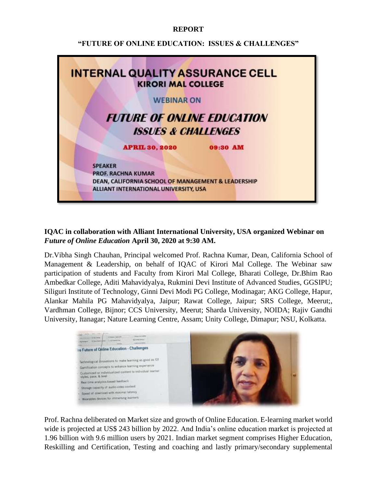## **REPORT**

## **"FUTURE OF ONLINE EDUCATION: ISSUES & CHALLENGES"**



## **IQAC in collaboration with Alliant International University, USA organized Webinar on**  *Future of Online Education* **April 30, 2020 at 9:30 AM.**

Dr.Vibha Singh Chauhan, Principal welcomed Prof. Rachna Kumar, Dean, California School of Management & Leadership, on behalf of IQAC of Kirori Mal College. The Webinar saw participation of students and Faculty from Kirori Mal College, Bharati College, Dr.Bhim Rao Ambedkar College, Aditi Mahavidyalya, Rukmini Devi Institute of Advanced Studies, GGSIPU; Siliguri Institute of Technology, Ginni Devi Modi PG College, Modinagar; AKG College, Hapur, Alankar Mahila PG Mahavidyalya, Jaipur; Rawat College, Jaipur; SRS College, Meerut;, Vardhman College, Bijnor; CCS University, Meerut; Sharda University, NOIDA; Rajiv Gandhi University, Itanagar; Nature Learning Centre, Assam; Unity College, Dimapur; NSU, Kolkatta.



Prof. Rachna deliberated on Market size and growth of Online Education. E-learning market world wide is projected at US\$ 243 billion by 2022. And India's online education market is projected at 1.96 billion with 9.6 million users by 2021. Indian market segment comprises Higher Education, Reskilling and Certification, Testing and coaching and lastly primary/secondary supplemental